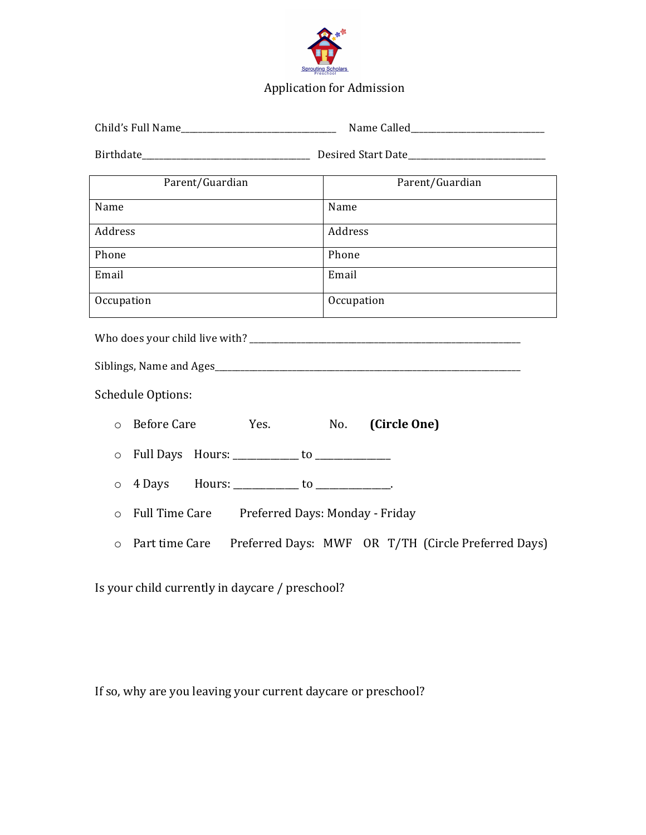

## Application for Admission

| Parent/Guardian                                            | Parent/Guardian                                                    |
|------------------------------------------------------------|--------------------------------------------------------------------|
| Name                                                       | Name                                                               |
| Address                                                    | Address                                                            |
| Phone                                                      | Phone                                                              |
| Email                                                      | Email                                                              |
| Occupation                                                 | Occupation                                                         |
|                                                            |                                                                    |
|                                                            |                                                                    |
| <b>Schedule Options:</b>                                   |                                                                    |
| <b>Before Care</b><br>Yes.<br>$\Omega$                     | No.<br>(Circle One)                                                |
| Full Days Hours: ____________ to ______________<br>$\circ$ |                                                                    |
| 4 Days Hours: _____________ to _____________.<br>$\circ$   |                                                                    |
| Full Time Care Preferred Days: Monday - Friday<br>$\circ$  |                                                                    |
| $\circ$                                                    | Part time Care Preferred Days: MWF OR T/TH (Circle Preferred Days) |
|                                                            |                                                                    |

Is your child currently in daycare / preschool?

If so, why are you leaving your current daycare or preschool?